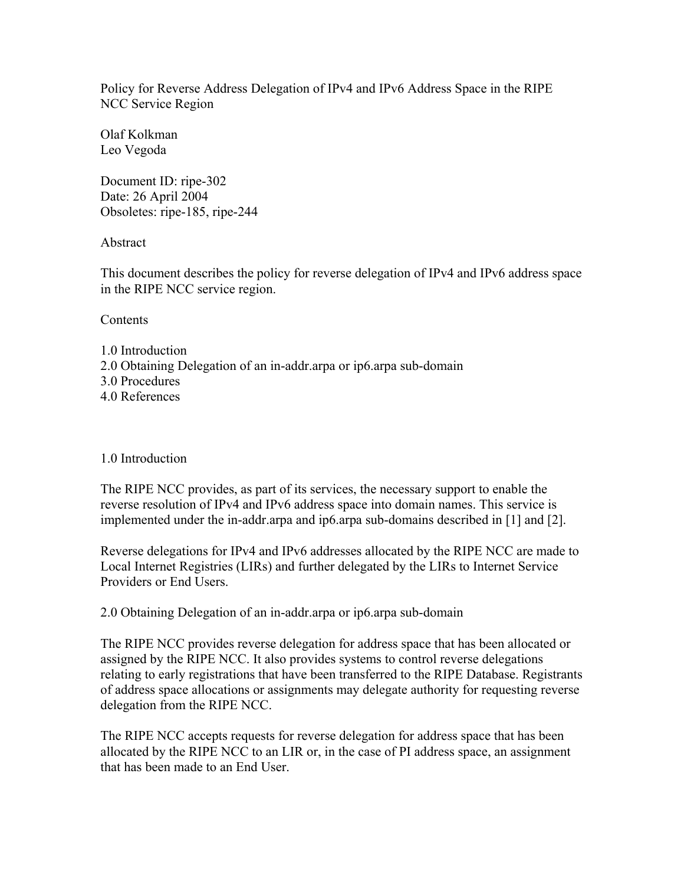Policy for Reverse Address Delegation of IPv4 and IPv6 Address Space in the RIPE NCC Service Region

Olaf Kolkman Leo Vegoda

Document ID: ripe-302 Date: 26 April 2004 Obsoletes: ripe-185, ripe-244

Abstract

This document describes the policy for reverse delegation of IPv4 and IPv6 address space in the RIPE NCC service region.

**Contents** 

- 1.0 Introduction 2.0 Obtaining Delegation of an in-addr.arpa or ip6.arpa sub-domain
- 3.0 Procedures
- 4.0 References

## 1.0 Introduction

The RIPE NCC provides, as part of its services, the necessary support to enable the reverse resolution of IPv4 and IPv6 address space into domain names. This service is implemented under the in-addr.arpa and ip6.arpa sub-domains described in [1] and [2].

Reverse delegations for IPv4 and IPv6 addresses allocated by the RIPE NCC are made to Local Internet Registries (LIRs) and further delegated by the LIRs to Internet Service Providers or End Users.

2.0 Obtaining Delegation of an in-addr.arpa or ip6.arpa sub-domain

The RIPE NCC provides reverse delegation for address space that has been allocated or assigned by the RIPE NCC. It also provides systems to control reverse delegations relating to early registrations that have been transferred to the RIPE Database. Registrants of address space allocations or assignments may delegate authority for requesting reverse delegation from the RIPE NCC.

The RIPE NCC accepts requests for reverse delegation for address space that has been allocated by the RIPE NCC to an LIR or, in the case of PI address space, an assignment that has been made to an End User.